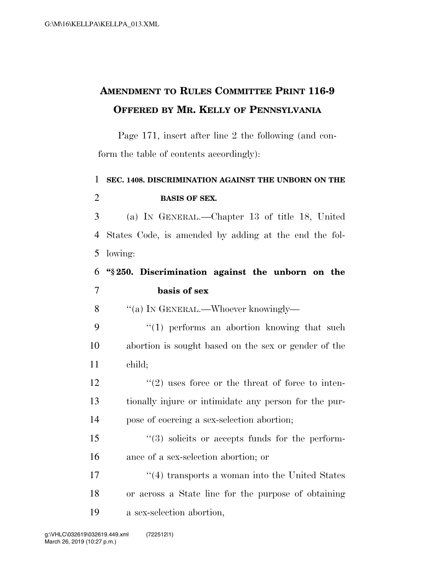## **AMENDMENT TO RULES COMMITTEE PRINT 116-9 OFFERED BY MR. KELLY OF PENNSYLVANIA**

Page 171, insert after line 2 the following (and conform the table of contents accordingly):

## 1 **SEC. 1408. DISCRIMINATION AGAINST THE UNBORN ON THE**  2 **BASIS OF SEX.**

3 (a) IN GENERAL.—Chapter 13 of title 18, United 4 States Code, is amended by adding at the end the fol-5 lowing:

## 6 **''§ 250. Discrimination against the unborn on the**  7 **basis of sex**

8 "(a) In GENERAL.—Whoever knowingly—

9  $\frac{1}{2}$  (1) performs an abortion knowing that such 10 abortion is sought based on the sex or gender of the 11 child;

 $\binom{12}{2}$  uses force or the threat of force to inten-13 tionally injure or intimidate any person for the pur-14 pose of coercing a sex-selection abortion;

15 ''(3) solicits or accepts funds for the perform-16 ance of a sex-selection abortion; or

17 ''(4) transports a woman into the United States 18 or across a State line for the purpose of obtaining 19 a sex-selection abortion,